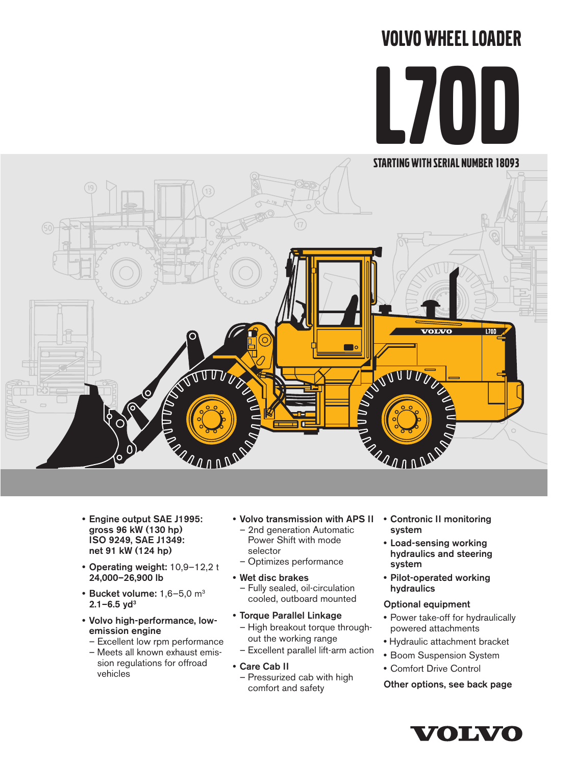# VOLVO WHEEL LOADER





- Engine output SAE J1995: gross 96 kW (130 hp) ISO 9249, SAE J1349: net 91 kW (124 hp)
- Operating weight: 10,9–12,2 t 24,000–26,900 lb
- Bucket volume:  $1,6-5,0$  m<sup>3</sup>  $2.1 - 6.5$  yd<sup>3</sup>
- Volvo high-performance, lowemission engine
	- Excellent low rpm performance
	- Meets all known exhaust emis sion regulations for offroad vehicles
- Volvo transmission with APS II
	- 2nd generation Automatic – Power Shift with mode selector
	- Optimizes performance
- Wet disc brakes – Fully sealed, oil-circulation – cooled, outboard mounted
- Torque Parallel Linkage
	- High breakout torque throughout the working range
	- Excellent parallel lift-arm action
- Care Cab II – Pressurized cab with high – comfort and safety
- Contronic II monitoring system
- Load-sensing working hydraulics and steering system
- Pilot-operated working hydraulics

### Optional equipment

- Power take-off for hydraulically powered attachments
- Hydraulic attachment bracket
- Boom Suspension System
- Comfort Drive Control

### Other options, see back page

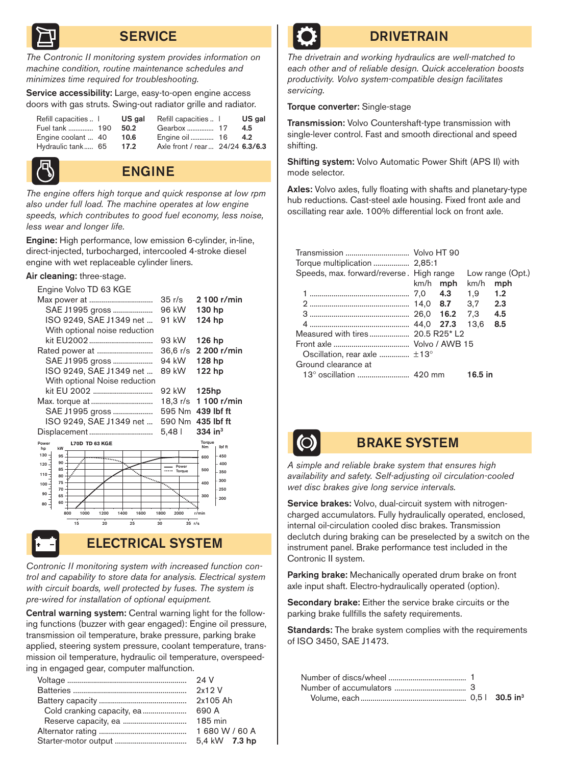

### SERVICE

*The Contronic II monitoring system provides information on machine condition, routine maintenance schedules and minimizes time required for troubleshooting.*

Service accessibility: Large, easy-to-open engine access doors with gas struts. Swing-out radiator grille and radiator.

| Refill capacities  I<br>Fuel tank  190  | US gal<br>50.2 | Refill capacities  I                              | US gal<br>4.5 |
|-----------------------------------------|----------------|---------------------------------------------------|---------------|
| Engine coolant  40<br>Hydraulic tank 65 | 10.6<br>17.2   | Engine oil  16<br>Axle front / rear 24/24 6.3/6.3 | 4.2           |



### ENGINE

*The engine offers high torque and quick response at low rpm also under full load. The machine operates at low engine speeds, which contributes to good fuel economy, less noise, less wear and longer life.*

Engine: High performance, low emission 6-cylinder, in-line, direct-injected, turbocharged, intercooled 4-stroke diesel engine with wet replaceable cylinder liners.

Air cleaning: three-stage.

| Engine Volvo TD 63 KGE                                                                                                                                                                                                                                                                                            |              |                        |
|-------------------------------------------------------------------------------------------------------------------------------------------------------------------------------------------------------------------------------------------------------------------------------------------------------------------|--------------|------------------------|
| Max power at                                                                                                                                                                                                                                                                                                      | 35 r/s       | 2 100 r/min            |
| SAE J1995 gross                                                                                                                                                                                                                                                                                                   | 96 kW        | 130 hp                 |
| ISO 9249, SAE J1349 net                                                                                                                                                                                                                                                                                           | 91 kW        | 124 hp                 |
| With optional noise reduction                                                                                                                                                                                                                                                                                     |              |                        |
| kit EU2002                                                                                                                                                                                                                                                                                                        | 93 kW        | 126 hp                 |
| Rated power at                                                                                                                                                                                                                                                                                                    | 36,6 r/s     | 2 200 r/min            |
| SAE J1995 gross                                                                                                                                                                                                                                                                                                   | 94 kW        | 128 hp                 |
| ISO 9249, SAE J1349 net                                                                                                                                                                                                                                                                                           | 89 kW        | 122 hp                 |
| With optional Noise reduction                                                                                                                                                                                                                                                                                     |              |                        |
|                                                                                                                                                                                                                                                                                                                   | 92 kW        | 125hp                  |
| Max. torque at                                                                                                                                                                                                                                                                                                    | 18,3 r/s     | 1 100 $r/min$          |
|                                                                                                                                                                                                                                                                                                                   | 595 Nm       | 439 lbf ft             |
| SAE J1995 gross                                                                                                                                                                                                                                                                                                   | 590 Nm       | 435 lbf ft             |
| ISO 9249, SAE J1349 net                                                                                                                                                                                                                                                                                           |              |                        |
|                                                                                                                                                                                                                                                                                                                   | 5,48 l       | $334$ in <sup>3</sup>  |
| <b>L70D TD 63 KGE</b><br>Power<br>kW<br>hp                                                                                                                                                                                                                                                                        |              | Toraue<br>lbf ft<br>Nm |
| $130 -$<br>95                                                                                                                                                                                                                                                                                                     |              | 450<br>600             |
| 90<br>120<br>85                                                                                                                                                                                                                                                                                                   | Power        | 400                    |
| $\overline{\mathcal{F}}_{\mathcal{F}_{\mathcal{F}_{\mathcal{F}}}}$<br>110<br>80<br>The Contract of the Contract of the Contract of the Contract of The Contract of The Contract of The Contract of The Contract of The Contract of The Contract of The Contract of The Contract of The Contract of The Contract o | Toraue       | 500<br>350             |
| 75<br>100                                                                                                                                                                                                                                                                                                         |              | 300<br>400             |
| 70<br>90<br>65                                                                                                                                                                                                                                                                                                    |              | 250<br>300<br>200      |
| 60<br>80                                                                                                                                                                                                                                                                                                          |              |                        |
| 800<br>1000<br>1200<br>1400<br>1600                                                                                                                                                                                                                                                                               | 2000<br>1800 | r/min                  |

ELECTRICAL SYSTEM

15 20 25 30 35 r/s

*Contronic II monitoring system with increased function control and capability to store data for analysis. Electrical system with circuit boards, well protected by fuses. The system is pre-wired for installation of optional equipment.*

Central warning system: Central warning light for the following functions (buzzer with gear engaged): Engine oil pressure, transmission oil temperature, brake pressure, parking brake applied, steering system pressure, coolant temperature, transmission oil temperature, hydraulic oil temperature, overspeeding in engaged gear, computer malfunction.

| g in chgagca gcai, compater mananchon. |               |
|----------------------------------------|---------------|
|                                        | 24 V          |
|                                        | 2x12V         |
|                                        | 2x105 Ah      |
| Cold cranking capacity, ea             | 690 A         |
|                                        | 185 min       |
|                                        | 1680 W / 60 A |
|                                        | 5,4 kW 7.3 hp |
|                                        |               |



# **DRIVETRAIN**

*The drivetrain and working hydraulics are well-matched to each other and of reliable design. Quick acceleration boosts productivity. Volvo system-compatible design facilitates servicing.*

Torque converter: Single-stage

Transmission: Volvo Countershaft-type transmission with single-lever control. Fast and smooth directional and speed shifting.

Shifting system: Volvo Automatic Power Shift (APS II) with mode selector.

Axles: Volvo axles, fully floating with shafts and planetary-type hub reductions. Cast-steel axle housing. Fixed front axle and oscillating rear axle. 100% differential lock on front axle.

| Transmission  Volvo HT 90                |      |     |           |                  |
|------------------------------------------|------|-----|-----------|------------------|
|                                          |      |     |           |                  |
| Speeds, max. forward/reverse. High range |      |     |           | Low range (Opt.) |
|                                          | km/h | mph | km/h      | mph              |
|                                          |      |     | $1,9$ 1.2 |                  |
|                                          |      |     | $3.7$ 2.3 |                  |
|                                          |      |     |           | 4.5              |
|                                          |      |     | 13.6      | 8.5              |
|                                          |      |     |           |                  |
|                                          |      |     |           |                  |
| Oscillation, rear axle $\pm 13^{\circ}$  |      |     |           |                  |
| Ground clearance at                      |      |     |           |                  |
|                                          |      |     | 16.5 in   |                  |



### BRAKE SYSTEM

*A simple and reliable brake system that ensures high availability and safety. Self-adjusting oil circulation-cooled wet disc brakes give long service intervals.*

Service brakes: Volvo, dual-circuit system with nitrogencharged accumulators. Fully hydraulically operated, enclosed, internal oil-circulation cooled disc brakes. Transmission declutch during braking can be preselected by a switch on the instrument panel. Brake performance test included in the Contronic II system.

Parking brake: Mechanically operated drum brake on front axle input shaft. Electro-hydraulically operated (option).

Secondary brake: Either the service brake circuits or the parking brake fullfills the safety requirements.

Standards: The brake system complies with the requirements of ISO 3450, SAE J1473.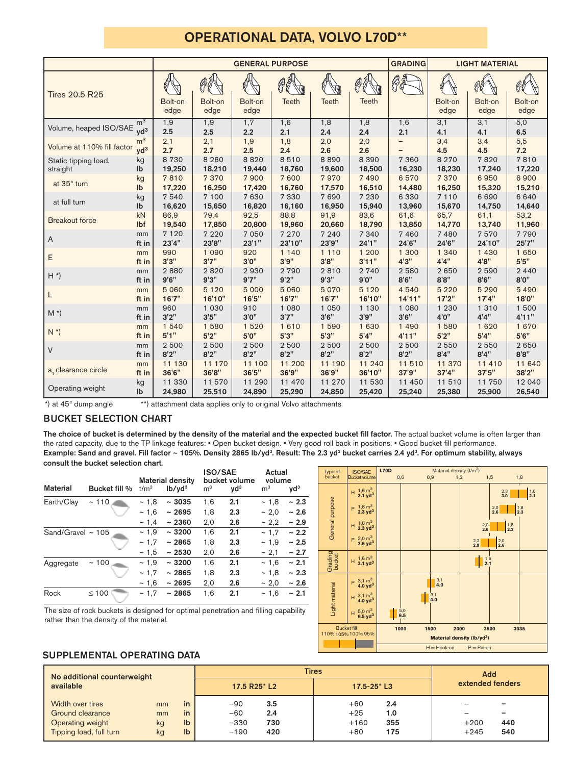# OPERATIONAL DATA, VOLVO L70D\*\*

|                            |                                   | <b>GENERAL PURPOSE</b> |                    |                    |              | <b>GRADING</b> | <b>LIGHT MATERIAL</b> |                          |                    |                    |                    |
|----------------------------|-----------------------------------|------------------------|--------------------|--------------------|--------------|----------------|-----------------------|--------------------------|--------------------|--------------------|--------------------|
| <b>Tires 20.5 R25</b>      |                                   | A<br>Bolt-on           | Bolt-on            | Bolt-on            | <b>Teeth</b> | <b>Teeth</b>   | <b>Teeth</b>          | B                        | Bolt-on            | Bolt-on            | Bolt-on            |
| Volume, heaped ISO/SAE     | m <sup>3</sup><br>yd <sup>3</sup> | edge<br>1,9<br>2.5     | edge<br>1,9<br>2.5 | edge<br>1,7<br>2.2 | 1,6<br>2.1   | 1,8<br>2.4     | 1,8<br>2.4            | 1,6<br>2.1               | edge<br>3,1<br>4.1 | edge<br>3,1<br>4.1 | edge<br>5,0<br>6.5 |
| Volume at 110% fill factor | m <sup>3</sup>                    | 2,1                    | 2,1                | 1,9                | 1,8          | 2,0            | 2,0                   | $\overline{\phantom{0}}$ | 3,4                | 3,4                | 5,5                |
|                            | $yd^3$                            | 2.7                    | 2.7                | 2.5                | 2.4          | 2.6            | 2.6                   | -                        | 4.5                | 4.5                | 7.2                |
| Static tipping load,       | kg                                | 8730                   | 8 2 6 0            | 8820               | 8510         | 8890           | 8 3 9 0               | 7 3 6 0                  | 8 2 7 0            | 7820               | 7810               |
| straight                   | lb                                | 19,250                 | 18,210             | 19,440             | 18,760       | 19,600         | 18,500                | 16,230                   | 18,230             | 17,240             | 17,220             |
| at 35° turn                | kg                                | 7810                   | 7370               | 7900               | 7 600        | 7970           | 7490                  | 6570                     | 7370               | 6950               | 6900               |
|                            | $\mathsf{I}^{\mathsf{b}}$         | 17,220                 | 16,250             | 17,420             | 16,760       | 17,570         | 16,510                | 14,480                   | 16,250             | 15,320             | 15,210             |
| at full turn               | kg                                | 7540                   | 7 100              | 7630               | 7 3 3 0      | 7690           | 7 2 3 0               | 6 3 3 0                  | 7 1 1 0            | 6690               | 6 6 4 0            |
|                            | lb                                | 16,620                 | 15,650             | 16,820             | 16,160       | 16,950         | 15,940                | 13,960                   | 15,670             | 14,750             | 14,640             |
| <b>Breakout force</b>      | kN                                | 86,9                   | 79,4               | 92,5               | 88,8         | 91,9           | 83,6                  | 61,6                     | 65,7               | 61,1               | 53,2               |
|                            | Ibf                               | 19,540                 | 17,850             | 20,800             | 19,960       | 20,660         | 18,790                | 13,850                   | 14,770             | 13,740             | 11,960             |
| $\overline{A}$             | mm                                | 7 1 2 0                | 7 2 2 0            | 7 0 5 0            | 7 2 7 0      | 7 2 4 0        | 7 3 4 0               | 7 4 6 0                  | 7480               | 7570               | 7 7 9 0            |
|                            | ft in                             | 23'4"                  | 23'8"              | 23'1"              | 23'10"       | 23'9"          | 24'1''                | 24'6"                    | 24'6"              | 24'10"             | 25'7"              |
| Ε                          | mm                                | 990                    | 1 0 9 0            | 920                | 1 1 4 0      | 1 1 1 0        | 1 200                 | 1 300                    | 1 3 4 0            | 1 4 3 0            | 1 650              |
|                            | ft in                             | 3'3''                  | 3'7''              | 3'0''              | 3'9''        | 3'8''          | 3'11''                | 4'3''                    | 4'4''              | 4'8"               | 5'5''              |
| $H^*$                      | mm                                | 2880                   | 2820               | 2930               | 2790         | 2810           | 2 740                 | 2580                     | 2650               | 2590               | 2 4 4 0            |
|                            | ft in                             | 9'6''                  | 9'3''              | 9'7''              | 9'2''        | 9'3''          | 9'0''                 | 8'6''                    | 8'8''              | 8'6''              | 8'0''              |
| L                          | mm                                | 5 0 6 0                | 5 1 2 0            | 5 0 0 0            | 5 0 6 0      | 5070           | 5 1 2 0               | 4 5 4 0                  | 5 2 2 0            | 5 2 9 0            | 5 4 9 0            |
|                            | ft in                             | 16'7"                  | 16'10"             | 16'5"              | 16'7''       | 16'7"          | 16'10"                | 14'11''                  | 17'2''             | 17'4''             | 18'0"              |
| $M^*$                      | mm                                | 960                    | 1 0 3 0            | 910                | 1 0 8 0      | 1 0 5 0        | 1 1 3 0               | 1 0 8 0                  | 1 2 3 0            | 1 3 1 0            | 1 500              |
|                            | ft in                             | 3'2''                  | 3'5''              | 3'0''              | 3'7''        | 3'6''          | 3'9''                 | 3'6''                    | 4'0"               | 4'4''              | 4'11''             |
| $N^*$                      | mm                                | 1540                   | 1580               | 1520               | 1 6 1 0      | 1590           | 1 6 3 0               | 1 4 9 0                  | 1580               | 1 6 2 0            | 1 6 7 0            |
|                            | ft in                             | 5'1''                  | 5'2''              | 5'0"               | 5'3''        | 5'3''          | 5'4''                 | 4'11''                   | 5'2''              | 5'4''              | 5'6''              |
| $\vee$                     | mm                                | 2500                   | 2500               | 2500               | 2500         | 2500           | 2500                  | 2 500                    | 2550               | 2550               | 2 6 5 0            |
|                            | ft in                             | 8'2''                  | 8'2''              | 8'2''              | 8'2''        | 8'2''          | 8'2''                 | 8'2''                    | 8'4''              | 8'4''              | 8'8''              |
| a, clearance circle        | mm                                | 11 130                 | 11 170             | 11 100             | 11 200       | 11 190         | 11 240                | 11 510                   | 11 370             | 11 410             | 11 640             |
|                            | ft in                             | 36'6"                  | 36'8"              | 36'5"              | 36'9"        | 36'9"          | 36'10"                | 37'9"                    | 37'4''             | 37'5"              | 38'2"              |
| Operating weight           | kg                                | 11 330                 | 11 570             | 11 290             | 11 470       | 11 270         | 11530                 | 11 450                   | 11510              | 11 750             | 12 040             |
|                            | lb                                | 24,980                 | 25,510             | 24,890             | 25,290       | 24,850         | 25,420                | 25,240                   | 25,380             | 25,900             | 26,540             |

\*) at 45° dump angle \*\*) attachment data applies only to original Volvo attachments

### BUCKET SELECTION CHART

The choice of bucket is determined by the density of the material and the expected bucket fill factor. The actual bucket volume is often larger than the rated capacity, due to the TP linkage features: • Open bucket design. • Very good roll back in positions. • Good bucket fill performance. Example: Sand and gravel. Fill factor ~ 105%. Density 2865 lb/yd<sup>3</sup>. Result: The 2.3 yd<sup>3</sup> bucket carries 2.4 yd<sup>3</sup>. For optimum stability, always consult the bucket selection chart.

|                        |                      | <b>Material density</b> |                    | <b>ISO/SAE</b> | bucket volume             | Actual<br>volume |                 |
|------------------------|----------------------|-------------------------|--------------------|----------------|---------------------------|------------------|-----------------|
| <b>Material</b>        | <b>Bucket fill %</b> | t/m <sup>3</sup>        | lb/vd <sup>3</sup> | m <sup>3</sup> | $\mathsf{v} \mathsf{d}^3$ | m <sup>3</sup>   | yd <sup>3</sup> |
| Earth/Clay             | ~110                 | ~1.8                    | ~1035              | 1,6            | 2.1                       | ~1,8             | ~2.3            |
|                        |                      | ~1.6                    | ~2695              | 1,8            | 2.3                       | ~2.0             | ~2.6            |
|                        |                      | ~1.4                    | ~2360              | 2,0            | 2.6                       | ~2.2             | ~2.9            |
| Sand/Gravel $\sim$ 105 |                      | ~1.9                    | ~1200              | 1,6            | 2.1                       | ~1.7             | ~2.2            |
|                        |                      | ~1.7                    | ~2865              | 1,8            | 2.3                       | ~1.9             | ~2.5            |
|                        |                      | ~1,5                    | ~2530              | 2,0            | 2.6                       | ~2,1             | ~2.7            |
| Aggregate              | ~100                 | ~1.9                    | ~1200              | 1,6            | 2.1                       | ~1,6             | ~2.1            |
|                        |                      | ~1.7                    | ~2865              | 1,8            | 2.3                       | ~1,8             | ~2.3            |
|                        |                      | ~1.6                    | ~2695              | 2,0            | 2.6                       | ~2.0             | ~2.6            |
| Rock                   | $\leq 100$           | ~1.7                    | ~2865              | 1,6            | 2.1                       | ~1.6             | ~2.1            |

Type of **ISO/SAE L70D** Material density (t/m<sup>3</sup>)<br>bucket **Bucket volume** 0,6 0,9 1,2 1,5 1,8 Type of<br>bucket ISO/SAE Bucket volume H  $\frac{1,6}{1}$  m<sup>3</sup><br>2.1 yd<sup>3</sup> 2.3 **3.0** 1,6 **2.1** General purpose General purpose P  $\frac{1,8}{2.3}$  yd<sup>3</sup> 2,0 1,8 **2.3 2.6** 1,8 m3 **2.3 yd3** H 2,0 **2.6** 1,8 **2.3**  $P = \frac{2,0 \text{ m}^3}{2.6 \text{ yd}^3}$   $\left[\begin{array}{ccc} 2,2 \end{array}\right]$ **2.9** 2,0 **2.6** Grading bucket H  $\frac{1,6}{1}$  m<sup>3</sup><br>**2.1 yd**<sup>3</sup> 1,6 **2.1**  $3,1$ <br>4.0  $P = \frac{3.1 \text{ m}^3}{4.0 \text{ yd}^3}$  and  $P = \frac{3.1 \text{ m}}{4.0 \text{ m}}$ material Light material  $H = \frac{3,1}{4.0} \frac{m^3}{yd^3}$ 3,1 **4.0** Light  $5,0$ <br>6.5  $\begin{array}{|c|c|c|}\n\hline\nH & 5.0 \text{ m}^3 \\
\hline\n6.5 \text{ yd}^3\n\end{array}$   $\begin{array}{|c|c|}\n\hline\n5.0 \\
\hline\n6.5\n\end{array}$ Bucket fill **1000 1500 2000 2500 3035** 110% 105% 100% 95% **Material density (lb/yd3)** ı L  $H = Hook-on$   $P = Pin-on$ 

The size of rock buckets is designed for optimal penetration and filling capability rather than the density of the material.

### SUPPLEMENTAL OPERATING DATA

| No additional counterweight<br>available |    |                |              | Add |        |                |                          |                  |  |
|------------------------------------------|----|----------------|--------------|-----|--------|----------------|--------------------------|------------------|--|
|                                          |    |                | 17.5 R25* L2 |     |        | $17.5 - 25$ L3 |                          | extended fenders |  |
| Width over tires                         | mm | in             | -90          | 3.5 | $+60$  | 2.4            |                          | -                |  |
| Ground clearance                         | mm | in             | $-60$        | 2.4 | $+25$  | 1.0            | $\overline{\phantom{0}}$ | -                |  |
| Operating weight                         | kg | I <sub>b</sub> | $-330$       | 730 | $+160$ | 355            | $+200$                   | 440              |  |
| Tipping load, full turn                  | kg | I <sub>b</sub> | $-190$       | 420 | $+80$  | 175            | $+245$                   | 540              |  |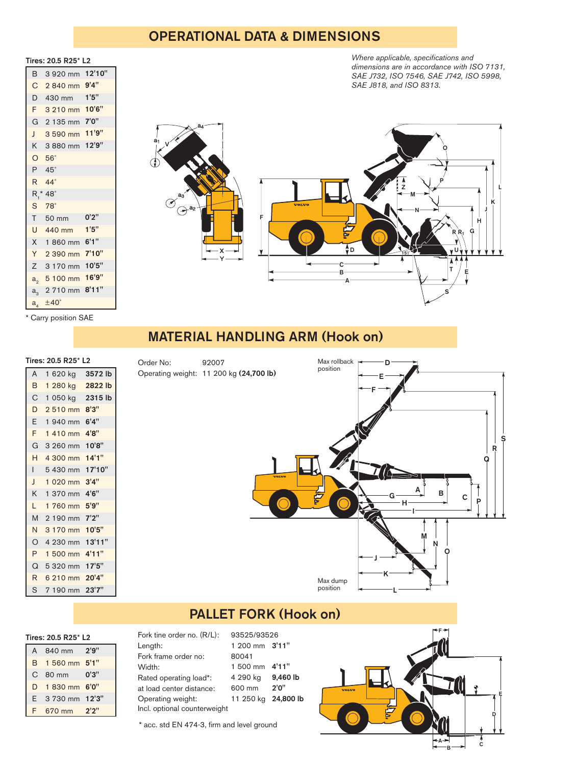### OPERATIONAL DATA & DIMENSIONS

### Tires: 20.5 R25\* L2

| в              | 3 920 mm        | 12'10" |
|----------------|-----------------|--------|
| C              | 2 840 mm        | 9'4''  |
| D              | 430 mm          | 1'5''  |
| F.             | 3 210 mm        | 10'6"  |
| G              | 2 135 mm        | 7'0"   |
| J              | 3 590 mm 11'9"  |        |
|                | K 3880 mm       | 12'9"  |
|                | O <sub>56</sub> |        |
|                | $P 45^\circ$    |        |
| R.             | $44^\circ$      |        |
|                | $R_1^*$ 48°     |        |
| S              | 78°             |        |
| $\mathsf{T}$   | 50 mm           | 0'2''  |
| U              | 440 mm          | 1'5''  |
|                | X 1860 mm       | 6'1''  |
| Y              | 2 390 mm        | 7'10'' |
|                | Z 3 170 mm      | 10'5'' |
|                | $a_2$ 5 100 mm  | 16'9"  |
| $a_{3}$        | 2 710 mm        | 8'11'' |
| a <sub>4</sub> | ±40°            |        |
|                |                 |        |

*Where applicable, specifications and dimensions are in accordance with ISO 7131, SAE J732, ISO 7546, SAE J742, ISO 5998, SAE J818, and ISO 8313.*



\* Carry position SAE

# MATERIAL HANDLING ARM (Hook on)

### Tires: 20.5 R25\* L2

| A  | 1 620 kg | 3572 lb |
|----|----------|---------|
| B  | 1 280 kg | 2822 lb |
| C  | 1 050 kg | 2315 lb |
| D  | 2 510 mm | 8'3''   |
| F  | 1 940 mm | 6'4''   |
| F  | 1 410 mm | 4'8"    |
| G  | 3 260 mm | 10'8"   |
| н  | 4 300 mm | 14'1''  |
| L  | 5 430 mm | 17'10"  |
| J  | 1 020 mm | 3'4''   |
| Κ  | 1 370 mm | 4'6"    |
| L  | 1 760 mm | 5'9"    |
| M  | 2 190 mm | 7'2''   |
| N  | 3 170 mm | 10'5''  |
| O  | 4 230 mm | 13'11"  |
| P  | 1 500 mm | 4'11''  |
| Q  | 5 320 mm | 17'5''  |
| R. | 6 210 mm | 20'4"   |
| S  | 7 190 mm | 23'7"   |



### PALLET FORK (Hook on)

### Tires: 20.5 R25\* L2

| A  | 840 mm             | 2'9'' |
|----|--------------------|-------|
| B. | 1 560 mm 5'1"      |       |
|    | $C$ 80 mm          | 0'3'' |
| D  | $1,830$ mm $6'0''$ |       |
| F. | 3 730 mm 12'3"     |       |
| F. | 670 mm             | 2'2"  |

| Fork tine order no. (R/L):   | 93525/93526                 |          |
|------------------------------|-----------------------------|----------|
| Length:                      | $1,900 \text{ mm}$ $3'11''$ |          |
| Fork frame order no:         | 80041                       |          |
| Width:                       | $1,500 \text{ mm}$ $4'11''$ |          |
| Rated operating load*:       | 4 290 kg                    | 9.460 lb |
| at load center distance:     | 600 mm                      | 2'0''    |
| Operating weight:            | 11 250 kg 24,800 lb         |          |
| Incl. optional counterweight |                             |          |

\* acc. std EN 474-3, firm and level ground

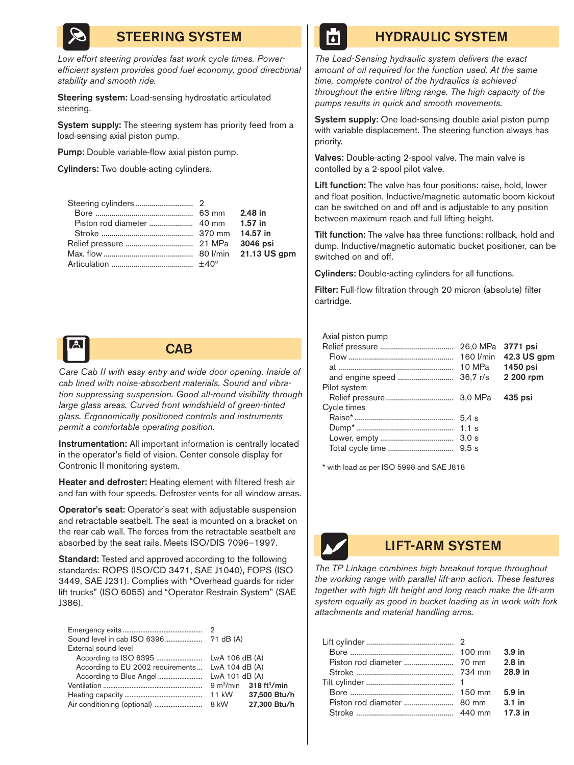# STEERING SYSTEM

*Low effort steering provides fast work cycle times. Powerefficient system provides good fuel economy, good directional stability and smooth ride.*

Steering system: Load-sensing hydrostatic articulated steering.

**System supply:** The steering system has priority feed from a load-sensing axial piston pump.

Pump: Double variable-flow axial piston pump.

Cylinders: Two double-acting cylinders.

| Articulation $\ldots$ $\ldots$ $\ldots$ $\ldots$ $\ldots$ $\ldots$ $\ldots$ $\pm$ 40° |  |
|---------------------------------------------------------------------------------------|--|



# CAB

*Care Cab II with easy entry and wide door opening. Inside of cab lined with noise-absorbent materials. Sound and vibration suppressing suspension. Good all-round visibility through large glass areas. Curved front windshield of green-tinted glass. Ergonomically positioned controls and instruments permit a comfortable operating position.*

Instrumentation: All important information is centrally located in the operator's field of vision. Center console display for Contronic II monitoring system.

Heater and defroster: Heating element with filtered fresh air and fan with four speeds. Defroster vents for all window areas.

Operator's seat: Operator's seat with adjustable suspension and retractable seatbelt. The seat is mounted on a bracket on the rear cab wall. The forces from the retractable seatbelt are absorbed by the seat rails. Meets ISO/DIS 7096–1997.

Standard: Tested and approved according to the following standards: ROPS (ISO/CD 3471, SAE J1040), FOPS (ISO 3449, SAE J231). Complies with "Overhead guards for rider lift trucks" (ISO 6055) and "Operator Restrain System" (SAE J386).

|                                                  | 71 dB (A)                                           |
|--------------------------------------------------|-----------------------------------------------------|
| External sound level                             |                                                     |
|                                                  |                                                     |
| According to EU 2002 requirements LwA 104 dB (A) |                                                     |
|                                                  |                                                     |
|                                                  | $9 \text{ m}^3/\text{min}$ 318 ft <sup>3</sup> /min |
|                                                  | 37,500 Btu/h<br>11 kW                               |
|                                                  | 27.300 Btu/h<br>8 kW                                |



### HYDRAULIC SYSTEM

*The Load-Sensing hydraulic system delivers the exact amount of oil required for the function used. At the same time, complete control of the hydraulics is achieved throughout the entire lifting range. The high capacity of the pumps results in quick and smooth movements.*

**System supply:** One load-sensing double axial piston pump with variable displacement. The steering function always has priority.

Valves: Double-acting 2-spool valve. The main valve is contolled by a 2-spool pilot valve.

Lift function: The valve has four positions: raise, hold, lower and float position. Inductive/magnetic automatic boom kickout can be switched on and off and is adjustable to any position between maximum reach and full lifting height.

Tilt function: The valve has three functions: rollback, hold and dump. Inductive/magnetic automatic bucket positioner, can be switched on and off.

Cylinders: Double-acting cylinders for all functions.

Filter: Full-flow filtration through 20 micron (absolute) filter cartridge.

### Axial piston pump

|              | 26,0 MPa 3771 psi<br>160 l/min<br>10 MPa | 42.3 US gpm<br>1450 psi |
|--------------|------------------------------------------|-------------------------|
| Pilot system |                                          |                         |
|              |                                          | 435 psi                 |
| Cycle times  |                                          |                         |
|              |                                          |                         |
|              |                                          |                         |
|              |                                          |                         |
|              |                                          |                         |

\* with load as per ISO 5998 and SAE J818



### LIFT-ARM SYSTEM

*The TP Linkage combines high breakout torque throughout the working range with parallel lift-arm action. These features together with high lift height and long reach make the lift-arm system equally as good in bucket loading as in work with fork attachments and material handling arms.*

|  | 3.9 <sub>in</sub> |
|--|-------------------|
|  | $2.8$ in          |
|  |                   |
|  |                   |
|  | 5.9 <sub>in</sub> |
|  | $3.1$ in          |
|  |                   |
|  |                   |